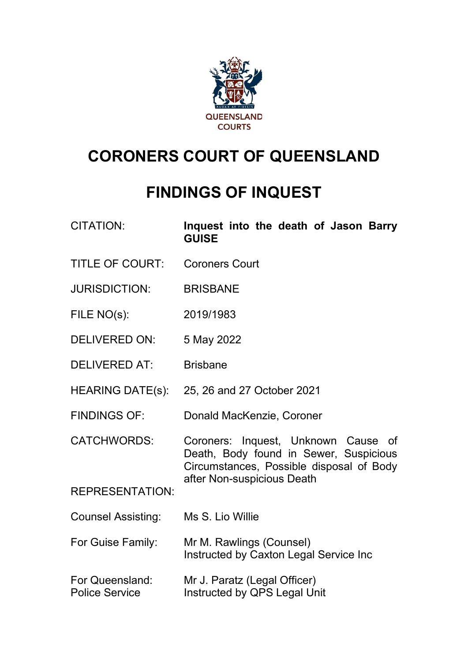

# **CORONERS COURT OF QUEENSLAND**

## **FINDINGS OF INQUEST**

- CITATION: **Inquest into the death of Jason Barry GUISE**
- TITLE OF COURT: Coroners Court
- JURISDICTION: BRISBANE
- FILE NO(s): 2019/1983
- DELIVERED ON: 5 May 2022
- DELIVERED AT: Brisbane
- HEARING DATE(s): 25, 26 and 27 October 2021
- FINDINGS OF: Donald MacKenzie, Coroner
- CATCHWORDS: Coroners: Inquest, Unknown Cause of Death, Body found in Sewer, Suspicious Circumstances, Possible disposal of Body after Non-suspicious Death

REPRESENTATION:

- Counsel Assisting: Ms S. Lio Willie
- For Guise Family: Mr M. Rawlings (Counsel) Instructed by Caxton Legal Service Inc
- For Queensland: Mr J. Paratz (Legal Officer) Police Service **Instructed by QPS Legal Unit**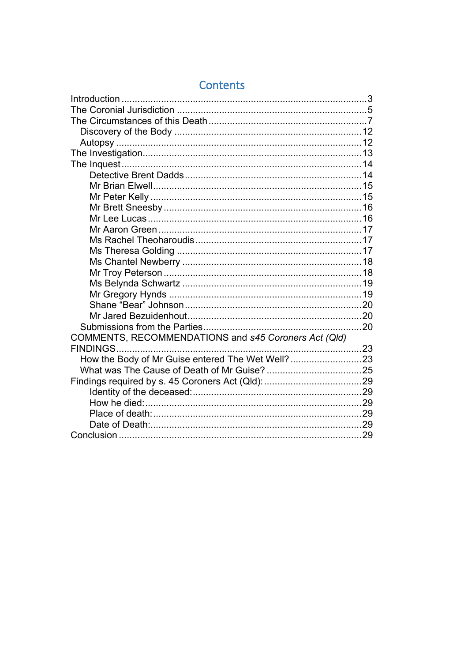| COMMENTS, RECOMMENDATIONS and s45 Coroners Act (Qld) |  |
|------------------------------------------------------|--|
|                                                      |  |
| How the Body of Mr Guise entered The Wet Well?23     |  |
|                                                      |  |
|                                                      |  |
|                                                      |  |
|                                                      |  |
|                                                      |  |
|                                                      |  |
|                                                      |  |

## Contents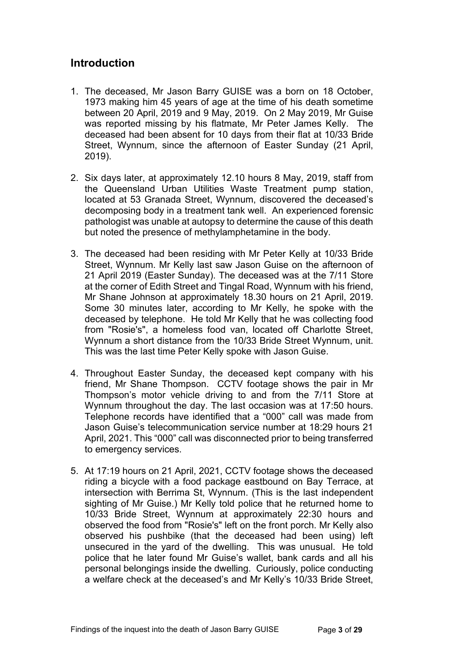### <span id="page-2-0"></span>**Introduction**

- 1. The deceased, Mr Jason Barry GUISE was a born on 18 October, 1973 making him 45 years of age at the time of his death sometime between 20 April, 2019 and 9 May, 2019. On 2 May 2019, Mr Guise was reported missing by his flatmate, Mr Peter James Kelly. The deceased had been absent for 10 days from their flat at 10/33 Bride Street, Wynnum, since the afternoon of Easter Sunday (21 April, 2019).
- 2. Six days later, at approximately 12.10 hours 8 May, 2019, staff from the Queensland Urban Utilities Waste Treatment pump station, located at 53 Granada Street, Wynnum, discovered the deceased's decomposing body in a treatment tank well. An experienced forensic pathologist was unable at autopsy to determine the cause of this death but noted the presence of methylamphetamine in the body.
- 3. The deceased had been residing with Mr Peter Kelly at 10/33 Bride Street, Wynnum. Mr Kelly last saw Jason Guise on the afternoon of 21 April 2019 (Easter Sunday). The deceased was at the 7/11 Store at the corner of Edith Street and Tingal Road, Wynnum with his friend, Mr Shane Johnson at approximately 18.30 hours on 21 April, 2019. Some 30 minutes later, according to Mr Kelly, he spoke with the deceased by telephone. He told Mr Kelly that he was collecting food from "Rosie's", a homeless food van, located off Charlotte Street, Wynnum a short distance from the 10/33 Bride Street Wynnum, unit. This was the last time Peter Kelly spoke with Jason Guise.
- 4. Throughout Easter Sunday, the deceased kept company with his friend, Mr Shane Thompson. CCTV footage shows the pair in Mr Thompson's motor vehicle driving to and from the 7/11 Store at Wynnum throughout the day. The last occasion was at 17:50 hours. Telephone records have identified that a "000" call was made from Jason Guise's telecommunication service number at 18:29 hours 21 April, 2021. This "000" call was disconnected prior to being transferred to emergency services.
- 5. At 17:19 hours on 21 April, 2021, CCTV footage shows the deceased riding a bicycle with a food package eastbound on Bay Terrace, at intersection with Berrima St, Wynnum. (This is the last independent sighting of Mr Guise.) Mr Kelly told police that he returned home to 10/33 Bride Street, Wynnum at approximately 22:30 hours and observed the food from "Rosie's" left on the front porch. Mr Kelly also observed his pushbike (that the deceased had been using) left unsecured in the yard of the dwelling. This was unusual. He told police that he later found Mr Guise's wallet, bank cards and all his personal belongings inside the dwelling. Curiously, police conducting a welfare check at the deceased's and Mr Kelly's 10/33 Bride Street,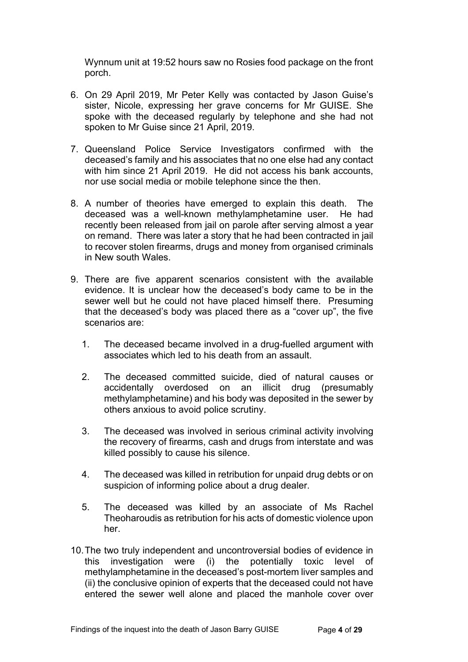Wynnum unit at 19:52 hours saw no Rosies food package on the front porch.

- 6. On 29 April 2019, Mr Peter Kelly was contacted by Jason Guise's sister, Nicole, expressing her grave concerns for Mr GUISE. She spoke with the deceased regularly by telephone and she had not spoken to Mr Guise since 21 April, 2019.
- 7. Queensland Police Service Investigators confirmed with the deceased's family and his associates that no one else had any contact with him since 21 April 2019. He did not access his bank accounts, nor use social media or mobile telephone since the then.
- 8. A number of theories have emerged to explain this death. The deceased was a well-known methylamphetamine user. He had recently been released from jail on parole after serving almost a year on remand. There was later a story that he had been contracted in jail to recover stolen firearms, drugs and money from organised criminals in New south Wales.
- 9. There are five apparent scenarios consistent with the available evidence. It is unclear how the deceased's body came to be in the sewer well but he could not have placed himself there. Presuming that the deceased's body was placed there as a "cover up", the five scenarios are:
	- 1. The deceased became involved in a drug-fuelled argument with associates which led to his death from an assault.
	- 2. The deceased committed suicide, died of natural causes or accidentally overdosed on an illicit drug (presumably methylamphetamine) and his body was deposited in the sewer by others anxious to avoid police scrutiny.
	- 3. The deceased was involved in serious criminal activity involving the recovery of firearms, cash and drugs from interstate and was killed possibly to cause his silence.
	- 4. The deceased was killed in retribution for unpaid drug debts or on suspicion of informing police about a drug dealer.
	- 5. The deceased was killed by an associate of Ms Rachel Theoharoudis as retribution for his acts of domestic violence upon her.
- 10.The two truly independent and uncontroversial bodies of evidence in this investigation were (i) the potentially toxic level of methylamphetamine in the deceased's post-mortem liver samples and (ii) the conclusive opinion of experts that the deceased could not have entered the sewer well alone and placed the manhole cover over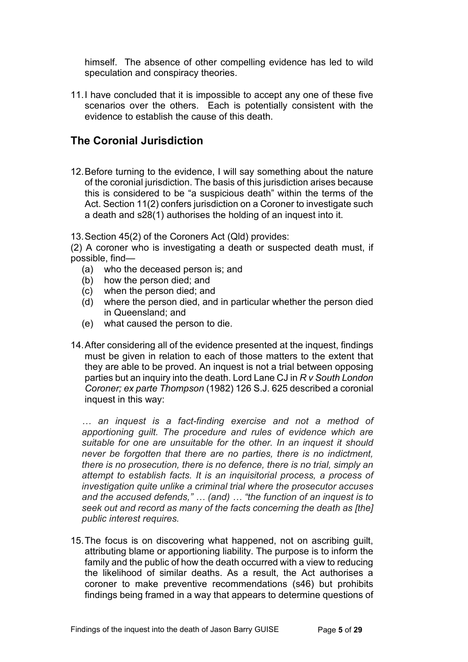himself. The absence of other compelling evidence has led to wild speculation and conspiracy theories.

11.I have concluded that it is impossible to accept any one of these five scenarios over the others. Each is potentially consistent with the evidence to establish the cause of this death.

### <span id="page-4-0"></span>**The Coronial Jurisdiction**

12.Before turning to the evidence, I will say something about the nature of the coronial jurisdiction. The basis of this jurisdiction arises because this is considered to be "a suspicious death" within the terms of the Act. Section 11(2) confers jurisdiction on a Coroner to investigate such a death and s28(1) authorises the holding of an inquest into it.

13.Section 45(2) of the Coroners Act (Qld) provides:

(2) A coroner who is investigating a death or suspected death must, if possible, find—

- (a) who the deceased person is; and
- (b) how the person died; and
- (c) when the person died; and
- (d) where the person died, and in particular whether the person died in Queensland; and
- (e) what caused the person to die.
- 14.After considering all of the evidence presented at the inquest, findings must be given in relation to each of those matters to the extent that they are able to be proved. An inquest is not a trial between opposing parties but an inquiry into the death. Lord Lane CJ in *R v South London Coroner; ex parte Thompson* (1982) 126 S.J. 625 described a coronial inquest in this way:

*… an inquest is a fact-finding exercise and not a method of apportioning guilt. The procedure and rules of evidence which are suitable for one are unsuitable for the other. In an inquest it should never be forgotten that there are no parties, there is no indictment, there is no prosecution, there is no defence, there is no trial, simply an attempt to establish facts. It is an inquisitorial process, a process of investigation quite unlike a criminal trial where the prosecutor accuses and the accused defends," … (and) … "the function of an inquest is to seek out and record as many of the facts concerning the death as [the] public interest requires.*

15.The focus is on discovering what happened, not on ascribing guilt, attributing blame or apportioning liability. The purpose is to inform the family and the public of how the death occurred with a view to reducing the likelihood of similar deaths. As a result, the Act authorises a coroner to make preventive recommendations (s46) but prohibits findings being framed in a way that appears to determine questions of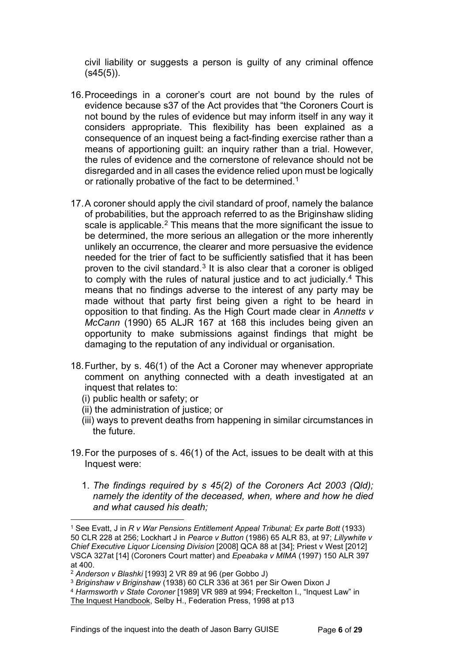civil liability or suggests a person is guilty of any criminal offence  $(s45(5))$ .

- 16.Proceedings in a coroner's court are not bound by the rules of evidence because s37 of the Act provides that "the Coroners Court is not bound by the rules of evidence but may inform itself in any way it considers appropriate. This flexibility has been explained as a consequence of an inquest being a fact-finding exercise rather than a means of apportioning guilt: an inquiry rather than a trial. However, the rules of evidence and the cornerstone of relevance should not be disregarded and in all cases the evidence relied upon must be logically or rationally probative of the fact to be determined. [1](#page-5-0)
- 17.A coroner should apply the civil standard of proof, namely the balance of probabilities, but the approach referred to as the Briginshaw sliding scale is applicable.<sup>[2](#page-5-1)</sup> This means that the more significant the issue to be determined, the more serious an allegation or the more inherently unlikely an occurrence, the clearer and more persuasive the evidence needed for the trier of fact to be sufficiently satisfied that it has been proven to the civil standard. $3$  It is also clear that a coroner is obliged to comply with the rules of natural justice and to act judicially[.4](#page-5-3) This means that no findings adverse to the interest of any party may be made without that party first being given a right to be heard in opposition to that finding. As the High Court made clear in *Annetts v McCann* (1990) 65 ALJR 167 at 168 this includes being given an opportunity to make submissions against findings that might be damaging to the reputation of any individual or organisation.
- 18.Further, by s. 46(1) of the Act a Coroner may whenever appropriate comment on anything connected with a death investigated at an inquest that relates to:
	- (i) public health or safety; or
	- (ii) the administration of justice; or
	- (iii) ways to prevent deaths from happening in similar circumstances in the future.
- 19.For the purposes of s. 46(1) of the Act, issues to be dealt with at this Inquest were:
	- 1. *The findings required by s 45(2) of the Coroners Act 2003 (Qld); namely the identity of the deceased, when, where and how he died and what caused his death;*

<span id="page-5-0"></span><sup>1</sup> See Evatt, J in *R v War Pensions Entitlement Appeal Tribunal; Ex parte Bott* (1933) 50 CLR 228 at 256; Lockhart J in *Pearce v Button* (1986) 65 ALR 83, at 97; *Lillywhite v Chief Executive Liquor Licensing Division* [2008] QCA 88 at [34]; Priest v West [2012] VSCA 327at [14] (Coroners Court matter) and *Epeabaka v MIMA* (1997) 150 ALR 397 at 400.

<span id="page-5-1"></span><sup>2</sup> *Anderson v Blashki* [1993] 2 VR 89 at 96 (per Gobbo J)

<span id="page-5-2"></span><sup>3</sup> *Briginshaw v Briginshaw* (1938) 60 CLR 336 at 361 per Sir Owen Dixon J

<span id="page-5-3"></span><sup>4</sup> *Harmsworth v State Coroner* [1989] VR 989 at 994; Freckelton I., "Inquest Law" in The Inquest Handbook, Selby H., Federation Press, 1998 at p13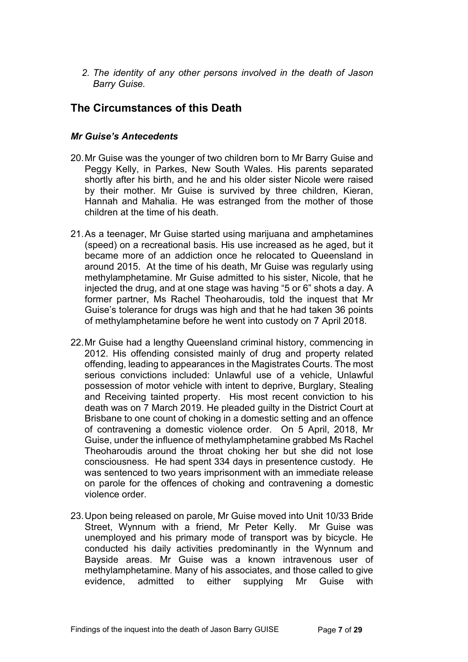*2. The identity of any other persons involved in the death of Jason Barry Guise.* 

### <span id="page-6-0"></span>**The Circumstances of this Death**

### *Mr Guise's Antecedents*

- 20.Mr Guise was the younger of two children born to Mr Barry Guise and Peggy Kelly, in Parkes, New South Wales. His parents separated shortly after his birth, and he and his older sister Nicole were raised by their mother. Mr Guise is survived by three children, Kieran, Hannah and Mahalia. He was estranged from the mother of those children at the time of his death.
- 21.As a teenager, Mr Guise started using marijuana and amphetamines (speed) on a recreational basis. His use increased as he aged, but it became more of an addiction once he relocated to Queensland in around 2015. At the time of his death, Mr Guise was regularly using methylamphetamine. Mr Guise admitted to his sister, Nicole, that he injected the drug, and at one stage was having "5 or 6" shots a day. A former partner, Ms Rachel Theoharoudis, told the inquest that Mr Guise's tolerance for drugs was high and that he had taken 36 points of methylamphetamine before he went into custody on 7 April 2018.
- 22.Mr Guise had a lengthy Queensland criminal history, commencing in 2012. His offending consisted mainly of drug and property related offending, leading to appearances in the Magistrates Courts. The most serious convictions included: Unlawful use of a vehicle, Unlawful possession of motor vehicle with intent to deprive, Burglary, Stealing and Receiving tainted property. His most recent conviction to his death was on 7 March 2019. He pleaded guilty in the District Court at Brisbane to one count of choking in a domestic setting and an offence of contravening a domestic violence order. On 5 April, 2018, Mr Guise, under the influence of methylamphetamine grabbed Ms Rachel Theoharoudis around the throat choking her but she did not lose consciousness. He had spent 334 days in presentence custody. He was sentenced to two years imprisonment with an immediate release on parole for the offences of choking and contravening a domestic violence order.
- 23.Upon being released on parole, Mr Guise moved into Unit 10/33 Bride Street, Wynnum with a friend, Mr Peter Kelly. Mr Guise was unemployed and his primary mode of transport was by bicycle. He conducted his daily activities predominantly in the Wynnum and Bayside areas. Mr Guise was a known intravenous user of methylamphetamine. Many of his associates, and those called to give evidence, admitted to either supplying Mr Guise with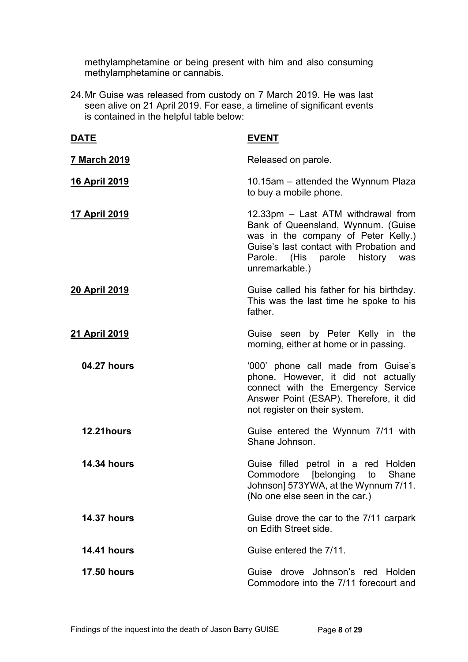methylamphetamine or being present with him and also consuming methylamphetamine or cannabis.

24.Mr Guise was released from custody on 7 March 2019. He was last seen alive on 21 April 2019. For ease, a timeline of significant events is contained in the helpful table below:

| <u>DATE</u>           | <u>EVENT</u>                                                                                                                                                                                                    |
|-----------------------|-----------------------------------------------------------------------------------------------------------------------------------------------------------------------------------------------------------------|
| <u>7 March 2019</u>   | Released on parole.                                                                                                                                                                                             |
| <u>16 April 2019</u>  | 10.15am – attended the Wynnum Plaza<br>to buy a mobile phone.                                                                                                                                                   |
| <u>17 April 2019</u>  | 12.33pm - Last ATM withdrawal from<br>Bank of Queensland, Wynnum. (Guise<br>was in the company of Peter Kelly.)<br>Guise's last contact with Probation and<br>Parole. (His parole history was<br>unremarkable.) |
| <u>20 April 2019</u>  | Guise called his father for his birthday.<br>This was the last time he spoke to his<br>father.                                                                                                                  |
| <u> 21 April 2019</u> | Guise seen by Peter Kelly in the<br>morning, either at home or in passing.                                                                                                                                      |
| 04.27 hours           | '000' phone call made from Guise's<br>phone. However, it did not actually<br>connect with the Emergency Service<br>Answer Point (ESAP). Therefore, it did<br>not register on their system.                      |
| 12.21hours            | Guise entered the Wynnum 7/11 with<br>Shane Johnson.                                                                                                                                                            |
| <b>14.34 hours</b>    | Guise filled petrol in a red Holden<br>Commodore [belonging to<br>Shane<br>Johnson] 573YWA, at the Wynnum 7/11.<br>(No one else seen in the car.)                                                               |
| <b>14.37 hours</b>    | Guise drove the car to the 7/11 carpark<br>on Edith Street side.                                                                                                                                                |
| <b>14.41 hours</b>    | Guise entered the 7/11.                                                                                                                                                                                         |
| <b>17.50 hours</b>    | Guise drove Johnson's red Holden<br>Commodore into the 7/11 forecourt and                                                                                                                                       |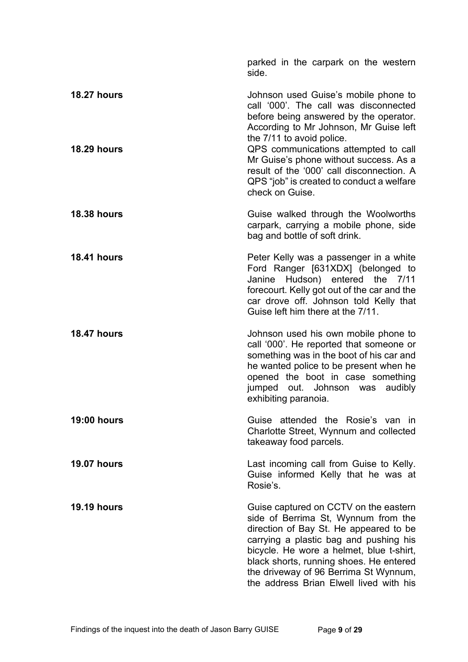|                    | parked in the carpark on the western<br>side.                                                                                                                                                                                                                                                                                               |
|--------------------|---------------------------------------------------------------------------------------------------------------------------------------------------------------------------------------------------------------------------------------------------------------------------------------------------------------------------------------------|
| <b>18.27 hours</b> | Johnson used Guise's mobile phone to<br>call '000'. The call was disconnected<br>before being answered by the operator.<br>According to Mr Johnson, Mr Guise left<br>the 7/11 to avoid police.                                                                                                                                              |
| <b>18.29 hours</b> | QPS communications attempted to call<br>Mr Guise's phone without success. As a<br>result of the '000' call disconnection. A<br>QPS "job" is created to conduct a welfare<br>check on Guise.                                                                                                                                                 |
| <b>18.38 hours</b> | Guise walked through the Woolworths<br>carpark, carrying a mobile phone, side<br>bag and bottle of soft drink.                                                                                                                                                                                                                              |
| <b>18.41 hours</b> | Peter Kelly was a passenger in a white<br>Ford Ranger [631XDX] (belonged to<br>Janine Hudson) entered the 7/11<br>forecourt. Kelly got out of the car and the<br>car drove off. Johnson told Kelly that<br>Guise left him there at the 7/11.                                                                                                |
| <b>18.47 hours</b> | Johnson used his own mobile phone to<br>call '000'. He reported that someone or<br>something was in the boot of his car and<br>he wanted police to be present when he<br>opened the boot in case something<br>jumped out. Johnson was<br>audibly<br>exhibiting paranoia.                                                                    |
| <b>19:00 hours</b> | Guise attended the Rosie's van in<br>Charlotte Street, Wynnum and collected<br>takeaway food parcels.                                                                                                                                                                                                                                       |
| <b>19.07 hours</b> | Last incoming call from Guise to Kelly.<br>Guise informed Kelly that he was at<br>Rosie's.                                                                                                                                                                                                                                                  |
| <b>19.19 hours</b> | Guise captured on CCTV on the eastern<br>side of Berrima St, Wynnum from the<br>direction of Bay St. He appeared to be<br>carrying a plastic bag and pushing his<br>bicycle. He wore a helmet, blue t-shirt,<br>black shorts, running shoes. He entered<br>the driveway of 96 Berrima St Wynnum,<br>the address Brian Elwell lived with his |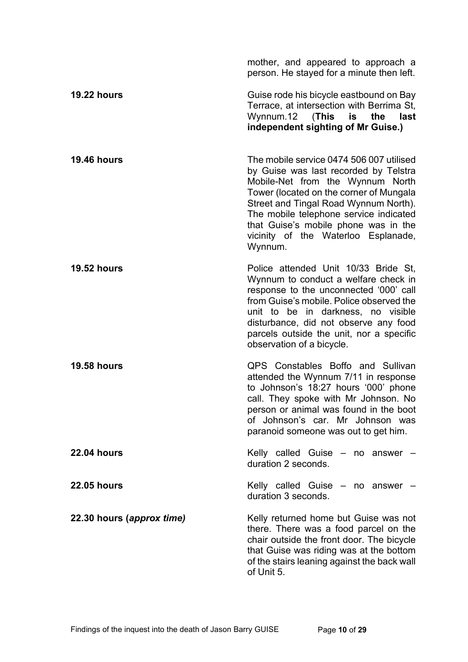|                           | mother, and appeared to approach a<br>person. He stayed for a minute then left.                                                                                                                                                                                                                                                               |
|---------------------------|-----------------------------------------------------------------------------------------------------------------------------------------------------------------------------------------------------------------------------------------------------------------------------------------------------------------------------------------------|
| <b>19.22 hours</b>        | Guise rode his bicycle eastbound on Bay<br>Terrace, at intersection with Berrima St,<br>Wynnum.12 (This is the<br>last<br>independent sighting of Mr Guise.)                                                                                                                                                                                  |
| <b>19.46 hours</b>        | The mobile service 0474 506 007 utilised<br>by Guise was last recorded by Telstra<br>Mobile-Net from the Wynnum North<br>Tower (located on the corner of Mungala<br>Street and Tingal Road Wynnum North).<br>The mobile telephone service indicated<br>that Guise's mobile phone was in the<br>vicinity of the Waterloo Esplanade,<br>Wynnum. |
| <b>19.52 hours</b>        | Police attended Unit 10/33 Bride St.<br>Wynnum to conduct a welfare check in<br>response to the unconnected '000' call<br>from Guise's mobile. Police observed the<br>unit to be in darkness, no visible<br>disturbance, did not observe any food<br>parcels outside the unit, nor a specific<br>observation of a bicycle.                    |
| <b>19.58 hours</b>        | QPS Constables Boffo and Sullivan<br>attended the Wynnum 7/11 in response<br>to Johnson's 18:27 hours '000' phone<br>call. They spoke with Mr Johnson. No<br>person or animal was found in the boot<br>of Johnson's car. Mr Johnson was<br>paranoid someone was out to get him.                                                               |
| <b>22.04 hours</b>        | Kelly called Guise - no answer -<br>duration 2 seconds.                                                                                                                                                                                                                                                                                       |
| <b>22.05 hours</b>        | Kelly called Guise $-$ no answer $-$<br>duration 3 seconds.                                                                                                                                                                                                                                                                                   |
| 22.30 hours (approx time) | Kelly returned home but Guise was not<br>there. There was a food parcel on the<br>chair outside the front door. The bicycle<br>that Guise was riding was at the bottom<br>of the stairs leaning against the back wall<br>of Unit 5.                                                                                                           |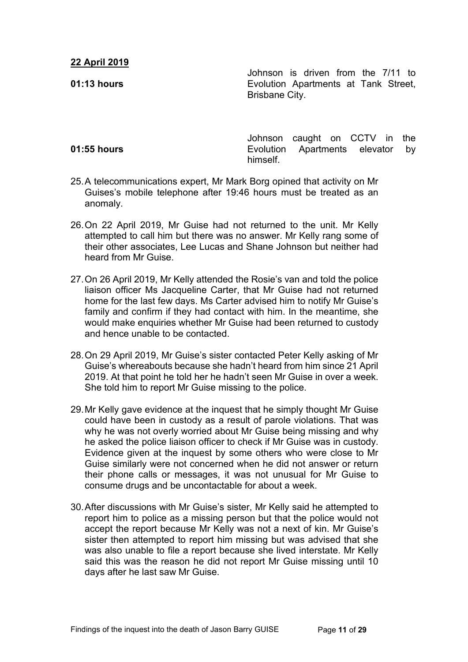### **22 April 2019**

**01:13 hours**

Johnson is driven from the 7/11 to Evolution Apartments at Tank Street, Brisbane City.

#### **01:55 hours**

Johnson caught on CCTV in the Evolution Apartments elevator by himself.

- 25.A telecommunications expert, Mr Mark Borg opined that activity on Mr Guises's mobile telephone after 19:46 hours must be treated as an anomaly.
- 26. On 22 April 2019, Mr Guise had not returned to the unit. Mr Kelly attempted to call him but there was no answer. Mr Kelly rang some of their other associates, Lee Lucas and Shane Johnson but neither had heard from Mr Guise.
- 27.On 26 April 2019, Mr Kelly attended the Rosie's van and told the police liaison officer Ms Jacqueline Carter, that Mr Guise had not returned home for the last few days. Ms Carter advised him to notify Mr Guise's family and confirm if they had contact with him. In the meantime, she would make enquiries whether Mr Guise had been returned to custody and hence unable to be contacted.
- 28.On 29 April 2019, Mr Guise's sister contacted Peter Kelly asking of Mr Guise's whereabouts because she hadn't heard from him since 21 April 2019. At that point he told her he hadn't seen Mr Guise in over a week. She told him to report Mr Guise missing to the police.
- 29.Mr Kelly gave evidence at the inquest that he simply thought Mr Guise could have been in custody as a result of parole violations. That was why he was not overly worried about Mr Guise being missing and why he asked the police liaison officer to check if Mr Guise was in custody. Evidence given at the inquest by some others who were close to Mr Guise similarly were not concerned when he did not answer or return their phone calls or messages, it was not unusual for Mr Guise to consume drugs and be uncontactable for about a week.
- 30.After discussions with Mr Guise's sister, Mr Kelly said he attempted to report him to police as a missing person but that the police would not accept the report because Mr Kelly was not a next of kin. Mr Guise's sister then attempted to report him missing but was advised that she was also unable to file a report because she lived interstate. Mr Kelly said this was the reason he did not report Mr Guise missing until 10 days after he last saw Mr Guise.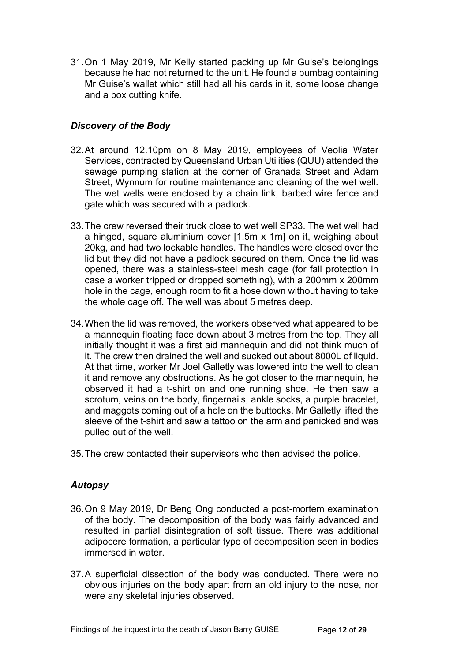31.On 1 May 2019, Mr Kelly started packing up Mr Guise's belongings because he had not returned to the unit. He found a bumbag containing Mr Guise's wallet which still had all his cards in it, some loose change and a box cutting knife.

### <span id="page-11-0"></span>*Discovery of the Body*

- 32.At around 12.10pm on 8 May 2019, employees of Veolia Water Services, contracted by Queensland Urban Utilities (QUU) attended the sewage pumping station at the corner of Granada Street and Adam Street, Wynnum for routine maintenance and cleaning of the wet well. The wet wells were enclosed by a chain link, barbed wire fence and gate which was secured with a padlock.
- 33.The crew reversed their truck close to wet well SP33. The wet well had a hinged, square aluminium cover [1.5m x 1m] on it, weighing about 20kg, and had two lockable handles. The handles were closed over the lid but they did not have a padlock secured on them. Once the lid was opened, there was a stainless-steel mesh cage (for fall protection in case a worker tripped or dropped something), with a 200mm x 200mm hole in the cage, enough room to fit a hose down without having to take the whole cage off. The well was about 5 metres deep.
- 34.When the lid was removed, the workers observed what appeared to be a mannequin floating face down about 3 metres from the top. They all initially thought it was a first aid mannequin and did not think much of it. The crew then drained the well and sucked out about 8000L of liquid. At that time, worker Mr Joel Galletly was lowered into the well to clean it and remove any obstructions. As he got closer to the mannequin, he observed it had a t-shirt on and one running shoe. He then saw a scrotum, veins on the body, fingernails, ankle socks, a purple bracelet, and maggots coming out of a hole on the buttocks. Mr Galletly lifted the sleeve of the t-shirt and saw a tattoo on the arm and panicked and was pulled out of the well.
- 35.The crew contacted their supervisors who then advised the police.

#### <span id="page-11-1"></span>*Autopsy*

- 36.On 9 May 2019, Dr Beng Ong conducted a post-mortem examination of the body. The decomposition of the body was fairly advanced and resulted in partial disintegration of soft tissue. There was additional adipocere formation, a particular type of decomposition seen in bodies immersed in water.
- 37.A superficial dissection of the body was conducted. There were no obvious injuries on the body apart from an old injury to the nose, nor were any skeletal injuries observed.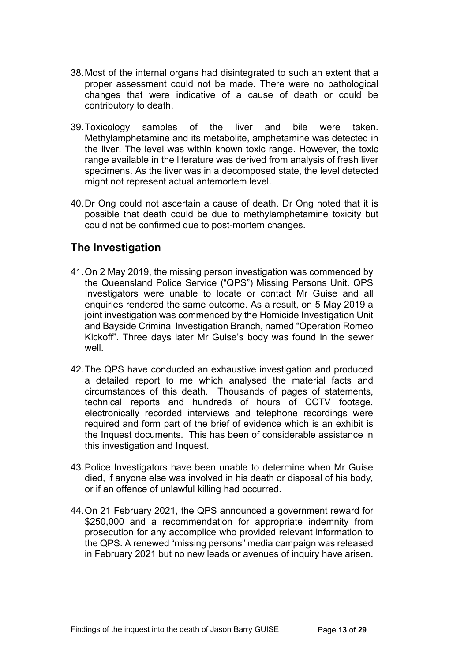- 38.Most of the internal organs had disintegrated to such an extent that a proper assessment could not be made. There were no pathological changes that were indicative of a cause of death or could be contributory to death.
- 39.Toxicology samples of the liver and bile were taken. Methylamphetamine and its metabolite, amphetamine was detected in the liver. The level was within known toxic range. However, the toxic range available in the literature was derived from analysis of fresh liver specimens. As the liver was in a decomposed state, the level detected might not represent actual antemortem level.
- 40.Dr Ong could not ascertain a cause of death. Dr Ong noted that it is possible that death could be due to methylamphetamine toxicity but could not be confirmed due to post-mortem changes.

### <span id="page-12-0"></span>**The Investigation**

- 41.On 2 May 2019, the missing person investigation was commenced by the Queensland Police Service ("QPS") Missing Persons Unit. QPS Investigators were unable to locate or contact Mr Guise and all enquiries rendered the same outcome. As a result, on 5 May 2019 a joint investigation was commenced by the Homicide Investigation Unit and Bayside Criminal Investigation Branch, named "Operation Romeo Kickoff". Three days later Mr Guise's body was found in the sewer well.
- 42.The QPS have conducted an exhaustive investigation and produced a detailed report to me which analysed the material facts and circumstances of this death. Thousands of pages of statements, technical reports and hundreds of hours of CCTV footage, electronically recorded interviews and telephone recordings were required and form part of the brief of evidence which is an exhibit is the Inquest documents. This has been of considerable assistance in this investigation and Inquest.
- 43.Police Investigators have been unable to determine when Mr Guise died, if anyone else was involved in his death or disposal of his body, or if an offence of unlawful killing had occurred.
- 44.On 21 February 2021, the QPS announced a government reward for \$250,000 and a recommendation for appropriate indemnity from prosecution for any accomplice who provided relevant information to the QPS. A renewed "missing persons" media campaign was released in February 2021 but no new leads or avenues of inquiry have arisen.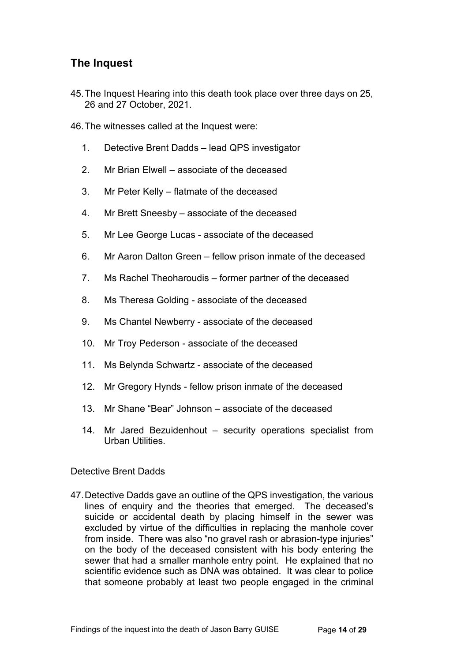### <span id="page-13-0"></span>**The Inquest**

- 45.The Inquest Hearing into this death took place over three days on 25, 26 and 27 October, 2021.
- 46.The witnesses called at the Inquest were:
	- 1. Detective Brent Dadds lead QPS investigator
	- 2. Mr Brian Elwell associate of the deceased
	- 3. Mr Peter Kelly flatmate of the deceased
	- 4. Mr Brett Sneesby associate of the deceased
	- 5. Mr Lee George Lucas associate of the deceased
	- 6. Mr Aaron Dalton Green fellow prison inmate of the deceased
	- 7. Ms Rachel Theoharoudis former partner of the deceased
	- 8. Ms Theresa Golding associate of the deceased
	- 9. Ms Chantel Newberry associate of the deceased
	- 10. Mr Troy Pederson associate of the deceased
	- 11. Ms Belynda Schwartz associate of the deceased
	- 12. Mr Gregory Hynds fellow prison inmate of the deceased
	- 13. Mr Shane "Bear" Johnson associate of the deceased
	- 14. Mr Jared Bezuidenhout security operations specialist from Urban Utilities.

#### <span id="page-13-1"></span>Detective Brent Dadds

47.Detective Dadds gave an outline of the QPS investigation, the various lines of enquiry and the theories that emerged. The deceased's suicide or accidental death by placing himself in the sewer was excluded by virtue of the difficulties in replacing the manhole cover from inside. There was also "no gravel rash or abrasion-type injuries" on the body of the deceased consistent with his body entering the sewer that had a smaller manhole entry point. He explained that no scientific evidence such as DNA was obtained. It was clear to police that someone probably at least two people engaged in the criminal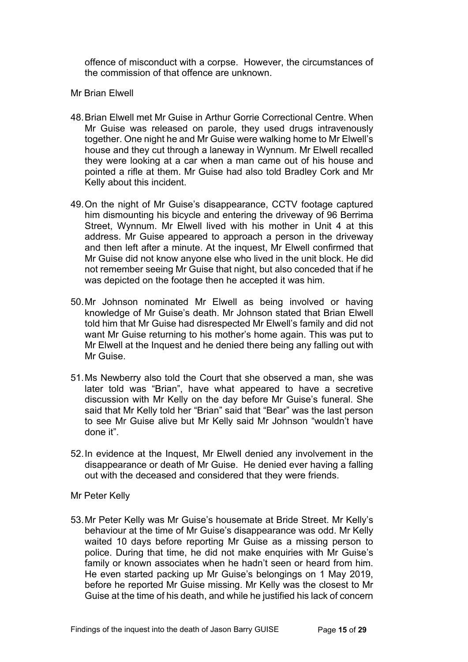offence of misconduct with a corpse. However, the circumstances of the commission of that offence are unknown.

#### <span id="page-14-0"></span>Mr Brian Elwell

- 48.Brian Elwell met Mr Guise in Arthur Gorrie Correctional Centre. When Mr Guise was released on parole, they used drugs intravenously together. One night he and Mr Guise were walking home to Mr Elwell's house and they cut through a laneway in Wynnum. Mr Elwell recalled they were looking at a car when a man came out of his house and pointed a rifle at them. Mr Guise had also told Bradley Cork and Mr Kelly about this incident.
- 49.On the night of Mr Guise's disappearance, CCTV footage captured him dismounting his bicycle and entering the driveway of 96 Berrima Street, Wynnum. Mr Elwell lived with his mother in Unit 4 at this address. Mr Guise appeared to approach a person in the driveway and then left after a minute. At the inquest, Mr Elwell confirmed that Mr Guise did not know anyone else who lived in the unit block. He did not remember seeing Mr Guise that night, but also conceded that if he was depicted on the footage then he accepted it was him.
- 50.Mr Johnson nominated Mr Elwell as being involved or having knowledge of Mr Guise's death. Mr Johnson stated that Brian Elwell told him that Mr Guise had disrespected Mr Elwell's family and did not want Mr Guise returning to his mother's home again. This was put to Mr Elwell at the Inquest and he denied there being any falling out with Mr Guise.
- 51.Ms Newberry also told the Court that she observed a man, she was later told was "Brian", have what appeared to have a secretive discussion with Mr Kelly on the day before Mr Guise's funeral. She said that Mr Kelly told her "Brian" said that "Bear" was the last person to see Mr Guise alive but Mr Kelly said Mr Johnson "wouldn't have done it".
- 52.In evidence at the Inquest, Mr Elwell denied any involvement in the disappearance or death of Mr Guise. He denied ever having a falling out with the deceased and considered that they were friends.
- <span id="page-14-1"></span>Mr Peter Kelly
- 53.Mr Peter Kelly was Mr Guise's housemate at Bride Street. Mr Kelly's behaviour at the time of Mr Guise's disappearance was odd. Mr Kelly waited 10 days before reporting Mr Guise as a missing person to police. During that time, he did not make enquiries with Mr Guise's family or known associates when he hadn't seen or heard from him. He even started packing up Mr Guise's belongings on 1 May 2019, before he reported Mr Guise missing. Mr Kelly was the closest to Mr Guise at the time of his death, and while he justified his lack of concern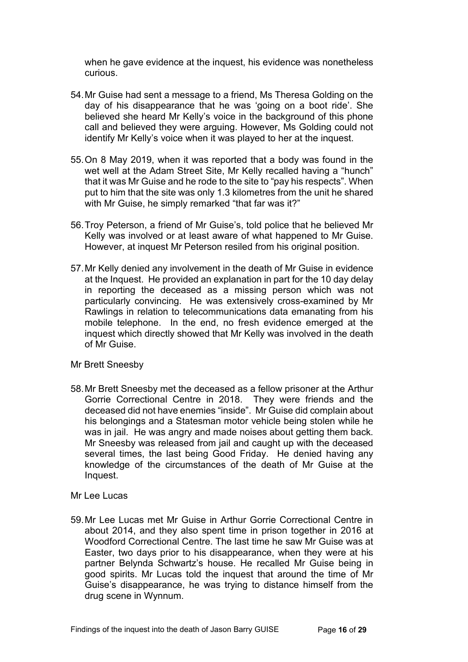when he gave evidence at the inquest, his evidence was nonetheless curious.

- 54.Mr Guise had sent a message to a friend, Ms Theresa Golding on the day of his disappearance that he was 'going on a boot ride'. She believed she heard Mr Kelly's voice in the background of this phone call and believed they were arguing. However, Ms Golding could not identify Mr Kelly's voice when it was played to her at the inquest.
- 55.On 8 May 2019, when it was reported that a body was found in the wet well at the Adam Street Site, Mr Kelly recalled having a "hunch" that it was Mr Guise and he rode to the site to "pay his respects". When put to him that the site was only 1.3 kilometres from the unit he shared with Mr Guise, he simply remarked "that far was it?"
- 56.Troy Peterson, a friend of Mr Guise's, told police that he believed Mr Kelly was involved or at least aware of what happened to Mr Guise. However, at inquest Mr Peterson resiled from his original position.
- 57.Mr Kelly denied any involvement in the death of Mr Guise in evidence at the Inquest. He provided an explanation in part for the 10 day delay in reporting the deceased as a missing person which was not particularly convincing. He was extensively cross-examined by Mr Rawlings in relation to telecommunications data emanating from his mobile telephone. In the end, no fresh evidence emerged at the inquest which directly showed that Mr Kelly was involved in the death of Mr Guise.

<span id="page-15-0"></span>Mr Brett Sneesby

- 58.Mr Brett Sneesby met the deceased as a fellow prisoner at the Arthur Gorrie Correctional Centre in 2018. They were friends and the deceased did not have enemies "inside". Mr Guise did complain about his belongings and a Statesman motor vehicle being stolen while he was in jail. He was angry and made noises about getting them back. Mr Sneesby was released from jail and caught up with the deceased several times, the last being Good Friday. He denied having any knowledge of the circumstances of the death of Mr Guise at the Inquest.
- <span id="page-15-1"></span>Mr Lee Lucas
- 59.Mr Lee Lucas met Mr Guise in Arthur Gorrie Correctional Centre in about 2014, and they also spent time in prison together in 2016 at Woodford Correctional Centre. The last time he saw Mr Guise was at Easter, two days prior to his disappearance, when they were at his partner Belynda Schwartz's house. He recalled Mr Guise being in good spirits. Mr Lucas told the inquest that around the time of Mr Guise's disappearance, he was trying to distance himself from the drug scene in Wynnum.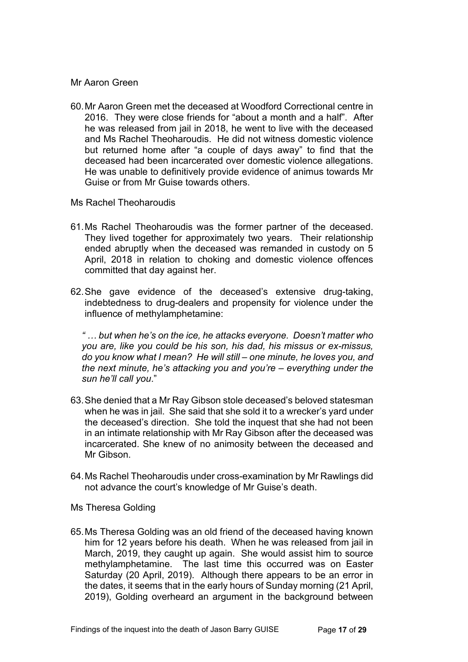#### <span id="page-16-0"></span>Mr Aaron Green

60.Mr Aaron Green met the deceased at Woodford Correctional centre in 2016. They were close friends for "about a month and a half". After he was released from jail in 2018, he went to live with the deceased and Ms Rachel Theoharoudis. He did not witness domestic violence but returned home after "a couple of days away" to find that the deceased had been incarcerated over domestic violence allegations. He was unable to definitively provide evidence of animus towards Mr Guise or from Mr Guise towards others.

#### <span id="page-16-1"></span>Ms Rachel Theoharoudis

- 61.Ms Rachel Theoharoudis was the former partner of the deceased. They lived together for approximately two years. Their relationship ended abruptly when the deceased was remanded in custody on 5 April, 2018 in relation to choking and domestic violence offences committed that day against her.
- 62.She gave evidence of the deceased's extensive drug-taking, indebtedness to drug-dealers and propensity for violence under the influence of methylamphetamine:

*" … but when he's on the ice, he attacks everyone. Doesn't matter who you are, like you could be his son, his dad, his missus or ex-missus, do you know what I mean? He will still – one minute, he loves you, and the next minute, he's attacking you and you're – everything under the sun he'll call you*."

- 63.She denied that a Mr Ray Gibson stole deceased's beloved statesman when he was in jail. She said that she sold it to a wrecker's vard under the deceased's direction. She told the inquest that she had not been in an intimate relationship with Mr Ray Gibson after the deceased was incarcerated. She knew of no animosity between the deceased and Mr Gibson.
- 64.Ms Rachel Theoharoudis under cross-examination by Mr Rawlings did not advance the court's knowledge of Mr Guise's death.

<span id="page-16-2"></span>Ms Theresa Golding

65.Ms Theresa Golding was an old friend of the deceased having known him for 12 years before his death. When he was released from jail in March, 2019, they caught up again. She would assist him to source methylamphetamine. The last time this occurred was on Easter Saturday (20 April, 2019). Although there appears to be an error in the dates, it seems that in the early hours of Sunday morning (21 April, 2019), Golding overheard an argument in the background between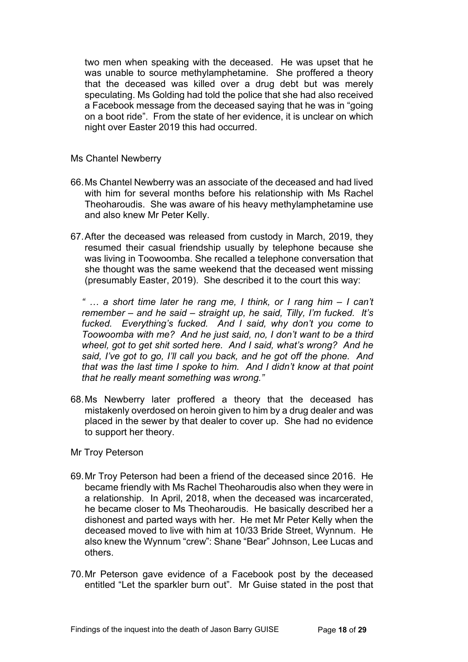two men when speaking with the deceased. He was upset that he was unable to source methylamphetamine. She proffered a theory that the deceased was killed over a drug debt but was merely speculating. Ms Golding had told the police that she had also received a Facebook message from the deceased saying that he was in "going on a boot ride". From the state of her evidence, it is unclear on which night over Easter 2019 this had occurred.

<span id="page-17-0"></span>Ms Chantel Newberry

- 66.Ms Chantel Newberry was an associate of the deceased and had lived with him for several months before his relationship with Ms Rachel Theoharoudis. She was aware of his heavy methylamphetamine use and also knew Mr Peter Kelly.
- 67.After the deceased was released from custody in March, 2019, they resumed their casual friendship usually by telephone because she was living in Toowoomba. She recalled a telephone conversation that she thought was the same weekend that the deceased went missing (presumably Easter, 2019). She described it to the court this way:

*" … a short time later he rang me, I think, or I rang him – I can't remember – and he said – straight up, he said, Tilly, I'm fucked. It's fucked. Everything's fucked. And I said, why don't you come to Toowoomba with me? And he just said, no, I don't want to be a third wheel, got to get shit sorted here. And I said, what's wrong? And he said, I've got to go, I'll call you back, and he got off the phone. And that was the last time I spoke to him. And I didn't know at that point that he really meant something was wrong."*

- 68.Ms Newberry later proffered a theory that the deceased has mistakenly overdosed on heroin given to him by a drug dealer and was placed in the sewer by that dealer to cover up. She had no evidence to support her theory.
- <span id="page-17-1"></span>Mr Troy Peterson
- 69.Mr Troy Peterson had been a friend of the deceased since 2016. He became friendly with Ms Rachel Theoharoudis also when they were in a relationship. In April, 2018, when the deceased was incarcerated, he became closer to Ms Theoharoudis. He basically described her a dishonest and parted ways with her. He met Mr Peter Kelly when the deceased moved to live with him at 10/33 Bride Street, Wynnum. He also knew the Wynnum "crew": Shane "Bear" Johnson, Lee Lucas and others.
- 70.Mr Peterson gave evidence of a Facebook post by the deceased entitled "Let the sparkler burn out". Mr Guise stated in the post that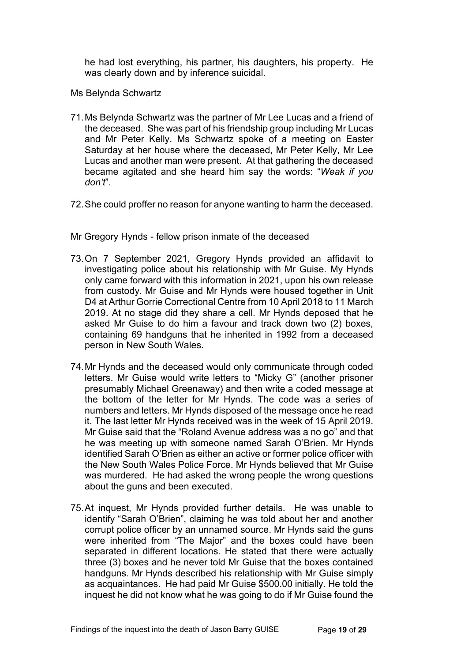he had lost everything, his partner, his daughters, his property. He was clearly down and by inference suicidal.

<span id="page-18-0"></span>Ms Belynda Schwartz

- 71.Ms Belynda Schwartz was the partner of Mr Lee Lucas and a friend of the deceased. She was part of his friendship group including Mr Lucas and Mr Peter Kelly. Ms Schwartz spoke of a meeting on Easter Saturday at her house where the deceased, Mr Peter Kelly, Mr Lee Lucas and another man were present. At that gathering the deceased became agitated and she heard him say the words: "*Weak if you don't*".
- 72.She could proffer no reason for anyone wanting to harm the deceased.
- <span id="page-18-1"></span>Mr Gregory Hynds - fellow prison inmate of the deceased
- 73.On 7 September 2021, Gregory Hynds provided an affidavit to investigating police about his relationship with Mr Guise. My Hynds only came forward with this information in 2021, upon his own release from custody. Mr Guise and Mr Hynds were housed together in Unit D4 at Arthur Gorrie Correctional Centre from 10 April 2018 to 11 March 2019. At no stage did they share a cell. Mr Hynds deposed that he asked Mr Guise to do him a favour and track down two (2) boxes, containing 69 handguns that he inherited in 1992 from a deceased person in New South Wales.
- 74.Mr Hynds and the deceased would only communicate through coded letters. Mr Guise would write letters to "Micky G" (another prisoner presumably Michael Greenaway) and then write a coded message at the bottom of the letter for Mr Hynds. The code was a series of numbers and letters. Mr Hynds disposed of the message once he read it. The last letter Mr Hynds received was in the week of 15 April 2019. Mr Guise said that the "Roland Avenue address was a no go" and that he was meeting up with someone named Sarah O'Brien. Mr Hynds identified Sarah O'Brien as either an active or former police officer with the New South Wales Police Force. Mr Hynds believed that Mr Guise was murdered. He had asked the wrong people the wrong questions about the guns and been executed.
- 75.At inquest, Mr Hynds provided further details. He was unable to identify "Sarah O'Brien", claiming he was told about her and another corrupt police officer by an unnamed source. Mr Hynds said the guns were inherited from "The Major" and the boxes could have been separated in different locations. He stated that there were actually three (3) boxes and he never told Mr Guise that the boxes contained handguns. Mr Hynds described his relationship with Mr Guise simply as acquaintances. He had paid Mr Guise \$500.00 initially. He told the inquest he did not know what he was going to do if Mr Guise found the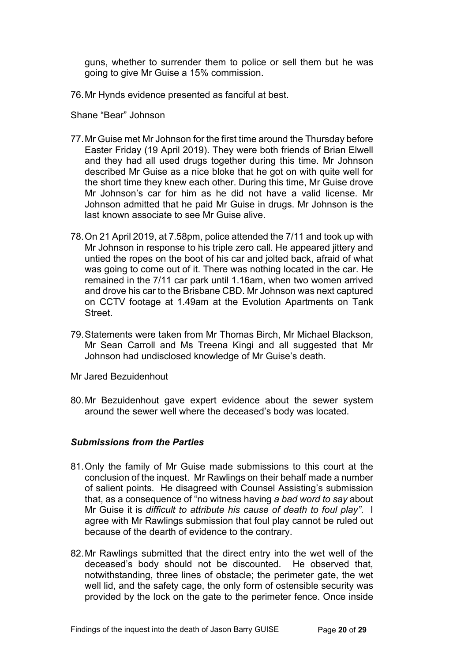guns, whether to surrender them to police or sell them but he was going to give Mr Guise a 15% commission.

<span id="page-19-0"></span>76.Mr Hynds evidence presented as fanciful at best.

Shane "Bear" Johnson

- 77.Mr Guise met Mr Johnson for the first time around the Thursday before Easter Friday (19 April 2019). They were both friends of Brian Elwell and they had all used drugs together during this time. Mr Johnson described Mr Guise as a nice bloke that he got on with quite well for the short time they knew each other. During this time, Mr Guise drove Mr Johnson's car for him as he did not have a valid license. Mr Johnson admitted that he paid Mr Guise in drugs. Mr Johnson is the last known associate to see Mr Guise alive.
- 78.On 21 April 2019, at 7.58pm, police attended the 7/11 and took up with Mr Johnson in response to his triple zero call. He appeared jittery and untied the ropes on the boot of his car and jolted back, afraid of what was going to come out of it. There was nothing located in the car. He remained in the 7/11 car park until 1.16am, when two women arrived and drove his car to the Brisbane CBD. Mr Johnson was next captured on CCTV footage at 1.49am at the Evolution Apartments on Tank Street.
- 79.Statements were taken from Mr Thomas Birch, Mr Michael Blackson, Mr Sean Carroll and Ms Treena Kingi and all suggested that Mr Johnson had undisclosed knowledge of Mr Guise's death.
- <span id="page-19-1"></span>Mr Jared Bezuidenhout
- 80.Mr Bezuidenhout gave expert evidence about the sewer system around the sewer well where the deceased's body was located.

#### <span id="page-19-2"></span>*Submissions from the Parties*

- 81.Only the family of Mr Guise made submissions to this court at the conclusion of the inquest. Mr Rawlings on their behalf made a number of salient points. He disagreed with Counsel Assisting's submission that, as a consequence of "no witness having *a bad word to say* about Mr Guise it is *difficult to attribute his cause of death to foul play"*. I agree with Mr Rawlings submission that foul play cannot be ruled out because of the dearth of evidence to the contrary.
- 82.Mr Rawlings submitted that the direct entry into the wet well of the deceased's body should not be discounted. He observed that, notwithstanding, three lines of obstacle; the perimeter gate, the wet well lid, and the safety cage, the only form of ostensible security was provided by the lock on the gate to the perimeter fence. Once inside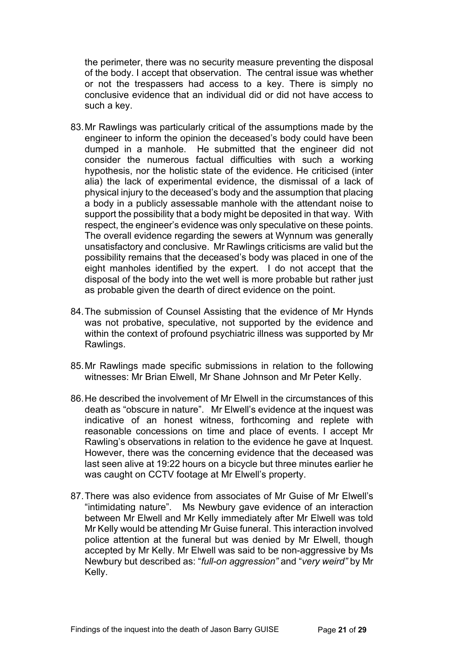the perimeter, there was no security measure preventing the disposal of the body. I accept that observation. The central issue was whether or not the trespassers had access to a key. There is simply no conclusive evidence that an individual did or did not have access to such a key.

- 83.Mr Rawlings was particularly critical of the assumptions made by the engineer to inform the opinion the deceased's body could have been dumped in a manhole. He submitted that the engineer did not consider the numerous factual difficulties with such a working hypothesis, nor the holistic state of the evidence. He criticised (inter alia) the lack of experimental evidence, the dismissal of a lack of physical injury to the deceased's body and the assumption that placing a body in a publicly assessable manhole with the attendant noise to support the possibility that a body might be deposited in that way. With respect, the engineer's evidence was only speculative on these points. The overall evidence regarding the sewers at Wynnum was generally unsatisfactory and conclusive. Mr Rawlings criticisms are valid but the possibility remains that the deceased's body was placed in one of the eight manholes identified by the expert. I do not accept that the disposal of the body into the wet well is more probable but rather just as probable given the dearth of direct evidence on the point.
- 84.The submission of Counsel Assisting that the evidence of Mr Hynds was not probative, speculative, not supported by the evidence and within the context of profound psychiatric illness was supported by Mr Rawlings.
- 85.Mr Rawlings made specific submissions in relation to the following witnesses: Mr Brian Elwell, Mr Shane Johnson and Mr Peter Kelly.
- 86.He described the involvement of Mr Elwell in the circumstances of this death as "obscure in nature". Mr Elwell's evidence at the inquest was indicative of an honest witness, forthcoming and replete with reasonable concessions on time and place of events. I accept Mr Rawling's observations in relation to the evidence he gave at Inquest. However, there was the concerning evidence that the deceased was last seen alive at 19:22 hours on a bicycle but three minutes earlier he was caught on CCTV footage at Mr Elwell's property.
- 87.There was also evidence from associates of Mr Guise of Mr Elwell's "intimidating nature". Ms Newbury gave evidence of an interaction between Mr Elwell and Mr Kelly immediately after Mr Elwell was told Mr Kelly would be attending Mr Guise funeral. This interaction involved police attention at the funeral but was denied by Mr Elwell, though accepted by Mr Kelly. Mr Elwell was said to be non-aggressive by Ms Newbury but described as: "*full-on aggression"* and "*very weird"* by Mr Kelly.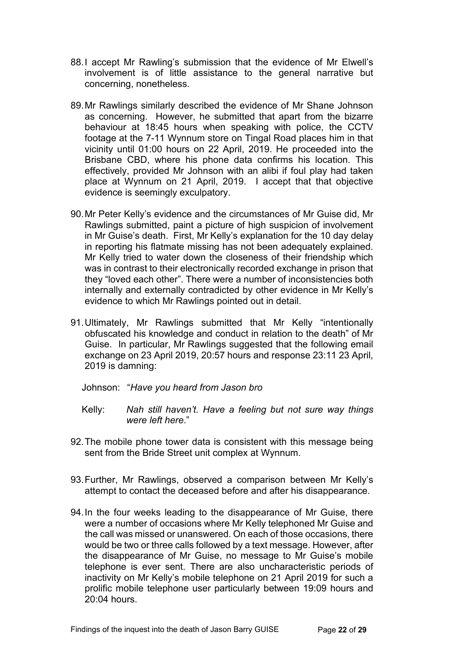- 88.I accept Mr Rawling's submission that the evidence of Mr Elwell's involvement is of little assistance to the general narrative but concerning, nonetheless.
- 89.Mr Rawlings similarly described the evidence of Mr Shane Johnson as concerning. However, he submitted that apart from the bizarre behaviour at 18:45 hours when speaking with police, the CCTV footage at the 7-11 Wynnum store on Tingal Road places him in that vicinity until 01:00 hours on 22 April, 2019. He proceeded into the Brisbane CBD, where his phone data confirms his location. This effectively, provided Mr Johnson with an alibi if foul play had taken place at Wynnum on 21 April, 2019. I accept that that objective evidence is seemingly exculpatory.
- 90.Mr Peter Kelly's evidence and the circumstances of Mr Guise did, Mr Rawlings submitted, paint a picture of high suspicion of involvement in Mr Guise's death. First, Mr Kelly's explanation for the 10 day delay in reporting his flatmate missing has not been adequately explained. Mr Kelly tried to water down the closeness of their friendship which was in contrast to their electronically recorded exchange in prison that they "loved each other". There were a number of inconsistencies both internally and externally contradicted by other evidence in Mr Kelly's evidence to which Mr Rawlings pointed out in detail.
- 91.Ultimately, Mr Rawlings submitted that Mr Kelly "intentionally obfuscated his knowledge and conduct in relation to the death" of Mr Guise. In particular, Mr Rawlings suggested that the following email exchange on 23 April 2019, 20:57 hours and response 23:11 23 April, 2019 is damning:
	- Johnson: "*Have you heard from Jason bro*
	- Kelly: *Nah still haven't. Have a feeling but not sure way things were left here*."
- 92.The mobile phone tower data is consistent with this message being sent from the Bride Street unit complex at Wynnum.
- 93.Further, Mr Rawlings, observed a comparison between Mr Kelly's attempt to contact the deceased before and after his disappearance.
- 94.In the four weeks leading to the disappearance of Mr Guise, there were a number of occasions where Mr Kelly telephoned Mr Guise and the call was missed or unanswered. On each of those occasions, there would be two or three calls followed by a text message. However, after the disappearance of Mr Guise, no message to Mr Guise's mobile telephone is ever sent. There are also uncharacteristic periods of inactivity on Mr Kelly's mobile telephone on 21 April 2019 for such a prolific mobile telephone user particularly between 19:09 hours and  $20:04$  hours.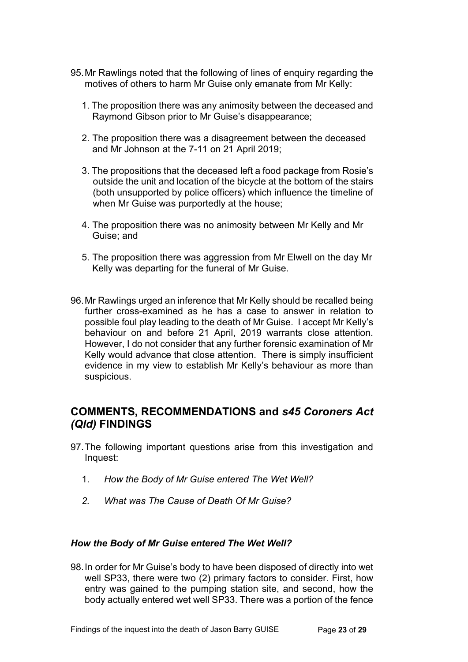- 95.Mr Rawlings noted that the following of lines of enquiry regarding the motives of others to harm Mr Guise only emanate from Mr Kelly:
	- 1. The proposition there was any animosity between the deceased and Raymond Gibson prior to Mr Guise's disappearance;
	- 2. The proposition there was a disagreement between the deceased and Mr Johnson at the 7-11 on 21 April 2019;
	- 3. The propositions that the deceased left a food package from Rosie's outside the unit and location of the bicycle at the bottom of the stairs (both unsupported by police officers) which influence the timeline of when Mr Guise was purportedly at the house;
	- 4. The proposition there was no animosity between Mr Kelly and Mr Guise; and
	- 5. The proposition there was aggression from Mr Elwell on the day Mr Kelly was departing for the funeral of Mr Guise.
- 96.Mr Rawlings urged an inference that Mr Kelly should be recalled being further cross-examined as he has a case to answer in relation to possible foul play leading to the death of Mr Guise. I accept Mr Kelly's behaviour on and before 21 April, 2019 warrants close attention. However, I do not consider that any further forensic examination of Mr Kelly would advance that close attention. There is simply insufficient evidence in my view to establish Mr Kelly's behaviour as more than suspicious.

### <span id="page-22-0"></span>**COMMENTS, RECOMMENDATIONS and** *s45 Coroners Act (Qld)* **FINDINGS**

- 97.The following important questions arise from this investigation and Inquest:
	- 1. *How the Body of Mr Guise entered The Wet Well?*
	- *2. What was The Cause of Death Of Mr Guise?*

#### <span id="page-22-1"></span>*How the Body of Mr Guise entered The Wet Well?*

98.In order for Mr Guise's body to have been disposed of directly into wet well SP33, there were two (2) primary factors to consider. First, how entry was gained to the pumping station site, and second, how the body actually entered wet well SP33. There was a portion of the fence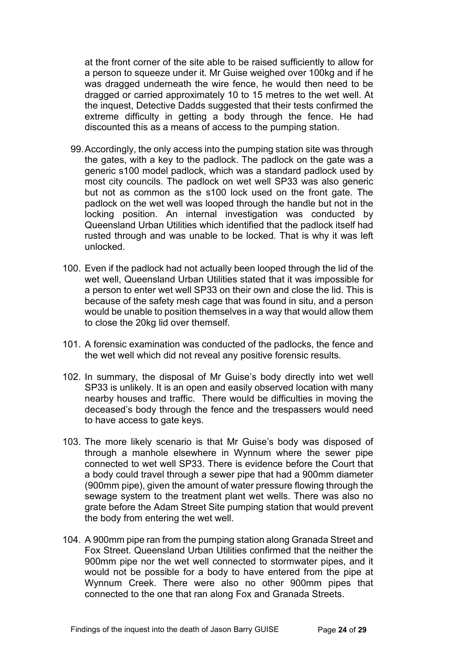at the front corner of the site able to be raised sufficiently to allow for a person to squeeze under it. Mr Guise weighed over 100kg and if he was dragged underneath the wire fence, he would then need to be dragged or carried approximately 10 to 15 metres to the wet well. At the inquest, Detective Dadds suggested that their tests confirmed the extreme difficulty in getting a body through the fence. He had discounted this as a means of access to the pumping station.

- 99.Accordingly, the only access into the pumping station site was through the gates, with a key to the padlock. The padlock on the gate was a generic s100 model padlock, which was a standard padlock used by most city councils. The padlock on wet well SP33 was also generic but not as common as the s100 lock used on the front gate. The padlock on the wet well was looped through the handle but not in the locking position. An internal investigation was conducted by Queensland Urban Utilities which identified that the padlock itself had rusted through and was unable to be locked. That is why it was left unlocked.
- 100. Even if the padlock had not actually been looped through the lid of the wet well, Queensland Urban Utilities stated that it was impossible for a person to enter wet well SP33 on their own and close the lid. This is because of the safety mesh cage that was found in situ, and a person would be unable to position themselves in a way that would allow them to close the 20kg lid over themself.
- 101. A forensic examination was conducted of the padlocks, the fence and the wet well which did not reveal any positive forensic results.
- 102. In summary, the disposal of Mr Guise's body directly into wet well SP33 is unlikely. It is an open and easily observed location with many nearby houses and traffic. There would be difficulties in moving the deceased's body through the fence and the trespassers would need to have access to gate keys.
- 103. The more likely scenario is that Mr Guise's body was disposed of through a manhole elsewhere in Wynnum where the sewer pipe connected to wet well SP33. There is evidence before the Court that a body could travel through a sewer pipe that had a 900mm diameter (900mm pipe), given the amount of water pressure flowing through the sewage system to the treatment plant wet wells. There was also no grate before the Adam Street Site pumping station that would prevent the body from entering the wet well.
- 104. A 900mm pipe ran from the pumping station along Granada Street and Fox Street. Queensland Urban Utilities confirmed that the neither the 900mm pipe nor the wet well connected to stormwater pipes, and it would not be possible for a body to have entered from the pipe at Wynnum Creek. There were also no other 900mm pipes that connected to the one that ran along Fox and Granada Streets.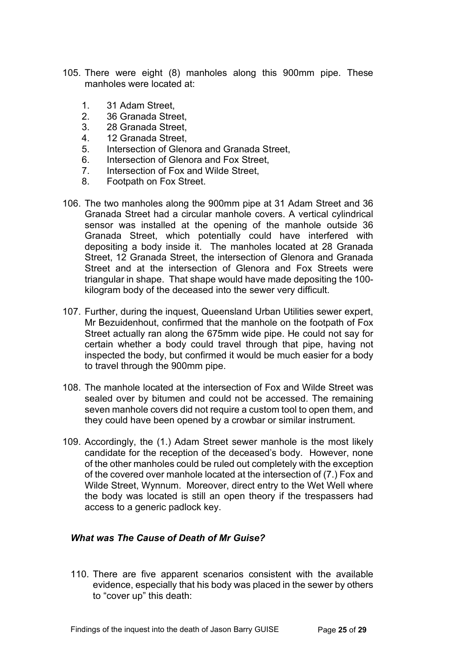- 105. There were eight (8) manholes along this 900mm pipe. These manholes were located at:
	- 1. 31 Adam Street,<br>2. 36 Granada Stre
	- 2. 36 Granada Street,
	- 3. 28 Granada Street,
	- 4. 12 Granada Street,
	- 5. Intersection of Glenora and Granada Street,
	- 6. Intersection of Glenora and Fox Street,
	- 7. Intersection of Fox and Wilde Street,
	- 8. Footpath on Fox Street.
- 106. The two manholes along the 900mm pipe at 31 Adam Street and 36 Granada Street had a circular manhole covers. A vertical cylindrical sensor was installed at the opening of the manhole outside 36 Granada Street, which potentially could have interfered with depositing a body inside it. The manholes located at 28 Granada Street, 12 Granada Street, the intersection of Glenora and Granada Street and at the intersection of Glenora and Fox Streets were triangular in shape. That shape would have made depositing the 100 kilogram body of the deceased into the sewer very difficult.
- 107. Further, during the inquest, Queensland Urban Utilities sewer expert, Mr Bezuidenhout, confirmed that the manhole on the footpath of Fox Street actually ran along the 675mm wide pipe. He could not say for certain whether a body could travel through that pipe, having not inspected the body, but confirmed it would be much easier for a body to travel through the 900mm pipe.
- 108. The manhole located at the intersection of Fox and Wilde Street was sealed over by bitumen and could not be accessed. The remaining seven manhole covers did not require a custom tool to open them, and they could have been opened by a crowbar or similar instrument.
- 109. Accordingly, the (1.) Adam Street sewer manhole is the most likely candidate for the reception of the deceased's body. However, none of the other manholes could be ruled out completely with the exception of the covered over manhole located at the intersection of (7.) Fox and Wilde Street, Wynnum. Moreover, direct entry to the Wet Well where the body was located is still an open theory if the trespassers had access to a generic padlock key.

### <span id="page-24-0"></span>*What was The Cause of Death of Mr Guise?*

110. There are five apparent scenarios consistent with the available evidence, especially that his body was placed in the sewer by others to "cover up" this death: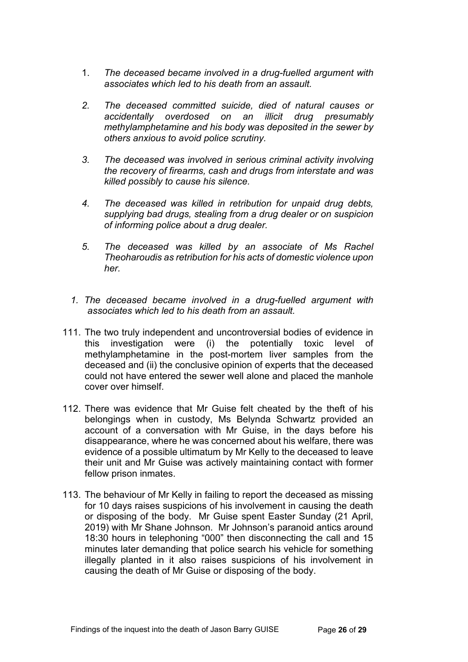- 1. *The deceased became involved in a drug-fuelled argument with associates which led to his death from an assault.*
- *2. The deceased committed suicide, died of natural causes or accidentally overdosed on an illicit drug presumably methylamphetamine and his body was deposited in the sewer by others anxious to avoid police scrutiny.*
- *3. The deceased was involved in serious criminal activity involving the recovery of firearms, cash and drugs from interstate and was killed possibly to cause his silence.*
- *4. The deceased was killed in retribution for unpaid drug debts, supplying bad drugs, stealing from a drug dealer or on suspicion of informing police about a drug dealer.*
- *5. The deceased was killed by an associate of Ms Rachel Theoharoudis as retribution for his acts of domestic violence upon her.*
- *1. The deceased became involved in a drug-fuelled argument with associates which led to his death from an assault.*
- 111. The two truly independent and uncontroversial bodies of evidence in this investigation were (i) the potentially toxic level of methylamphetamine in the post-mortem liver samples from the deceased and (ii) the conclusive opinion of experts that the deceased could not have entered the sewer well alone and placed the manhole cover over himself.
- 112. There was evidence that Mr Guise felt cheated by the theft of his belongings when in custody, Ms Belynda Schwartz provided an account of a conversation with Mr Guise, in the days before his disappearance, where he was concerned about his welfare, there was evidence of a possible ultimatum by Mr Kelly to the deceased to leave their unit and Mr Guise was actively maintaining contact with former fellow prison inmates.
- 113. The behaviour of Mr Kelly in failing to report the deceased as missing for 10 days raises suspicions of his involvement in causing the death or disposing of the body. Mr Guise spent Easter Sunday (21 April, 2019) with Mr Shane Johnson. Mr Johnson's paranoid antics around 18:30 hours in telephoning "000" then disconnecting the call and 15 minutes later demanding that police search his vehicle for something illegally planted in it also raises suspicions of his involvement in causing the death of Mr Guise or disposing of the body.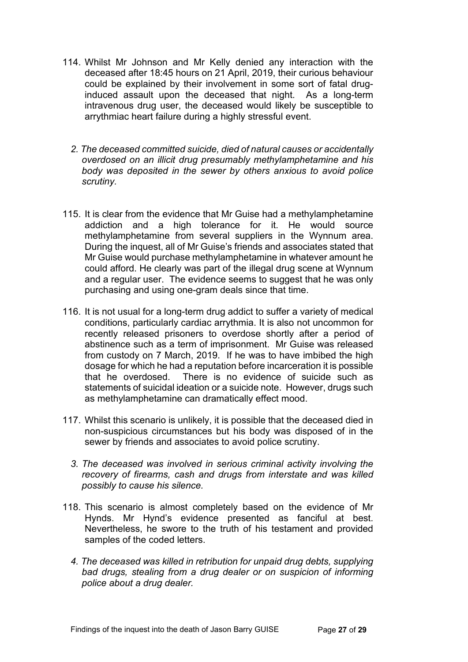- 114. Whilst Mr Johnson and Mr Kelly denied any interaction with the deceased after 18:45 hours on 21 April, 2019, their curious behaviour could be explained by their involvement in some sort of fatal druginduced assault upon the deceased that night. As a long-term intravenous drug user, the deceased would likely be susceptible to arrythmiac heart failure during a highly stressful event.
	- *2. The deceased committed suicide, died of natural causes or accidentally overdosed on an illicit drug presumably methylamphetamine and his body was deposited in the sewer by others anxious to avoid police scrutiny.*
- 115. It is clear from the evidence that Mr Guise had a methylamphetamine addiction and a high tolerance for it. He would source methylamphetamine from several suppliers in the Wynnum area. During the inquest, all of Mr Guise's friends and associates stated that Mr Guise would purchase methylamphetamine in whatever amount he could afford. He clearly was part of the illegal drug scene at Wynnum and a regular user. The evidence seems to suggest that he was only purchasing and using one-gram deals since that time.
- 116. It is not usual for a long-term drug addict to suffer a variety of medical conditions, particularly cardiac arrythmia. It is also not uncommon for recently released prisoners to overdose shortly after a period of abstinence such as a term of imprisonment. Mr Guise was released from custody on 7 March, 2019. If he was to have imbibed the high dosage for which he had a reputation before incarceration it is possible that he overdosed. There is no evidence of suicide such as statements of suicidal ideation or a suicide note. However, drugs such as methylamphetamine can dramatically effect mood.
- 117. Whilst this scenario is unlikely, it is possible that the deceased died in non-suspicious circumstances but his body was disposed of in the sewer by friends and associates to avoid police scrutiny.
	- *3. The deceased was involved in serious criminal activity involving the recovery of firearms, cash and drugs from interstate and was killed possibly to cause his silence.*
- 118. This scenario is almost completely based on the evidence of Mr Hynds. Mr Hynd's evidence presented as fanciful at best. Nevertheless, he swore to the truth of his testament and provided samples of the coded letters.
	- *4. The deceased was killed in retribution for unpaid drug debts, supplying bad drugs, stealing from a drug dealer or on suspicion of informing police about a drug dealer.*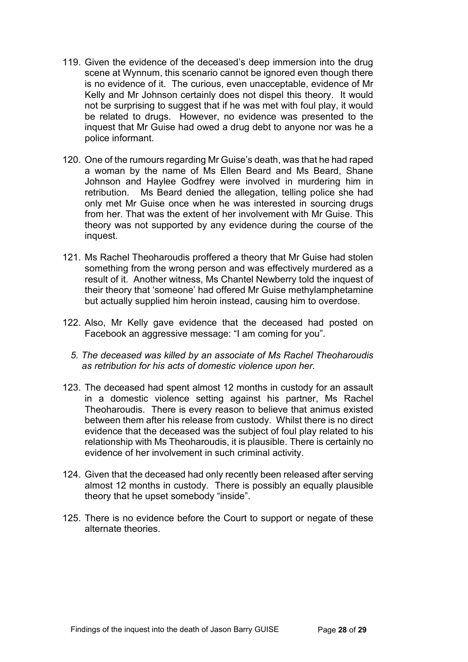- 119. Given the evidence of the deceased's deep immersion into the drug scene at Wynnum, this scenario cannot be ignored even though there is no evidence of it. The curious, even unacceptable, evidence of Mr Kelly and Mr Johnson certainly does not dispel this theory. It would not be surprising to suggest that if he was met with foul play, it would be related to drugs. However, no evidence was presented to the inquest that Mr Guise had owed a drug debt to anyone nor was he a police informant.
- 120. One of the rumours regarding Mr Guise's death, was that he had raped a woman by the name of Ms Ellen Beard and Ms Beard, Shane Johnson and Haylee Godfrey were involved in murdering him in retribution. Ms Beard denied the allegation, telling police she had only met Mr Guise once when he was interested in sourcing drugs from her. That was the extent of her involvement with Mr Guise. This theory was not supported by any evidence during the course of the inquest.
- 121. Ms Rachel Theoharoudis proffered a theory that Mr Guise had stolen something from the wrong person and was effectively murdered as a result of it. Another witness, Ms Chantel Newberry told the inquest of their theory that 'someone' had offered Mr Guise methylamphetamine but actually supplied him heroin instead, causing him to overdose.
- 122. Also, Mr Kelly gave evidence that the deceased had posted on Facebook an aggressive message: "I am coming for you".
	- *5. The deceased was killed by an associate of Ms Rachel Theoharoudis as retribution for his acts of domestic violence upon her.*
- 123. The deceased had spent almost 12 months in custody for an assault in a domestic violence setting against his partner, Ms Rachel Theoharoudis. There is every reason to believe that animus existed between them after his release from custody. Whilst there is no direct evidence that the deceased was the subject of foul play related to his relationship with Ms Theoharoudis, it is plausible. There is certainly no evidence of her involvement in such criminal activity.
- 124. Given that the deceased had only recently been released after serving almost 12 months in custody. There is possibly an equally plausible theory that he upset somebody "inside".
- 125. There is no evidence before the Court to support or negate of these alternate theories.